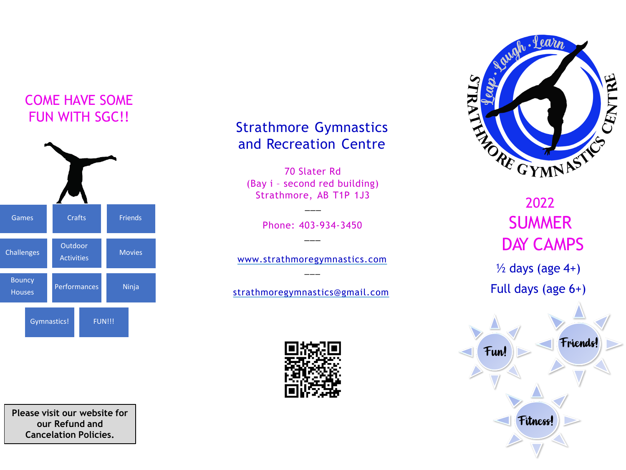# COME HAVE SOME FUN WITH SGC!!



**Please visit our website for our Refund and Cancelation Policies.**

## Strathmore Gymnastics and Recreation Centre

70 Slater Rd (Bay i – second red building) Strathmore, AB T1P 1J3

> Phone: 403-934-3450  $\overline{\phantom{a}}$

\_\_\_

www.strathmoregymnastics.com  $\overline{\phantom{a}}$ 

[strathmoregymnastics@gmail.com](mailto:strathmoregymnastics@gmail.com)





2022 **SUMMER** DAY CAMPS  $\frac{1}{2}$  days (age 4+) Full days (age 6+)